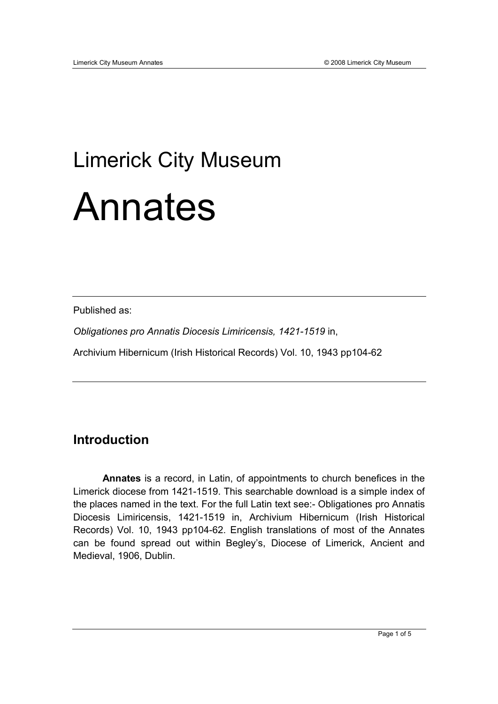## Limerick City Museum Annates

Published as:

*Obligationes pro Annatis Diocesis Limiricensis, 1421-1519* in,

Archivium Hibernicum (Irish Historical Records) Vol. 10, 1943 pp104-62

## **Introduction**

**Annates** is a record, in Latin, of appointments to church benefices in the Limerick diocese from 1421-1519. This searchable download is a simple index of the places named in the text. For the full Latin text see:- Obligationes pro Annatis Diocesis Limiricensis, 1421-1519 in, Archivium Hibernicum (Irish Historical Records) Vol. 10, 1943 pp104-62. English translations of most of the Annates can be found spread out within Begley's, Diocese of Limerick, Ancient and Medieval, 1906, Dublin.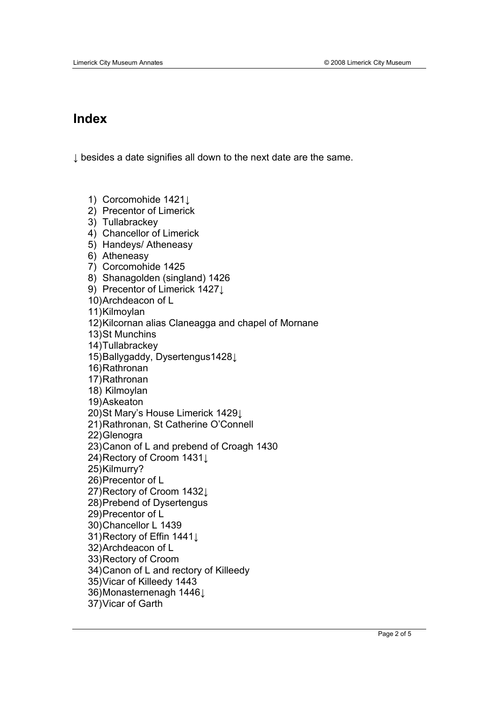## **Index**

↓ besides a date signifies all down to the next date are the same.

- 1) Corcomohide 1421↓
- 2) Precentor of Limerick
- 3) Tullabrackey
- 4) Chancellor of Limerick
- 5) Handeys/ Atheneasy
- 6) Atheneasy
- 7) Corcomohide 1425
- 8) Shanagolden (singland) 1426
- 9) Precentor of Limerick 1427⊥
- 10)Archdeacon of L

11)Kilmoylan

- 12)Kilcornan alias Claneagga and chapel of Mornane
- 13)St Munchins
- 14)Tullabrackey
- 15)Ballygaddy, Dysertengus1428↓
- 16)Rathronan
- 17)Rathronan
- 18) Kilmoylan
- 19)Askeaton
- 20)St Mary's House Limerick 1429↓
- 21)Rathronan, St Catherine O'Connell
- 22)Glenogra
- 23)Canon of L and prebend of Croagh 1430
- 24)Rectory of Croom 1431↓
- 25)Kilmurry?
- 26)Precentor of L
- 27)Rectory of Croom 1432↓
- 28)Prebend of Dysertengus
- 29)Precentor of L
- 30)Chancellor L 1439
- 31)Rectory of Effin 1441↓
- 32)Archdeacon of L
- 33)Rectory of Croom
- 34)Canon of L and rectory of Killeedy
- 35)Vicar of Killeedy 1443
- 36)Monasternenagh 1446↓
- 37)Vicar of Garth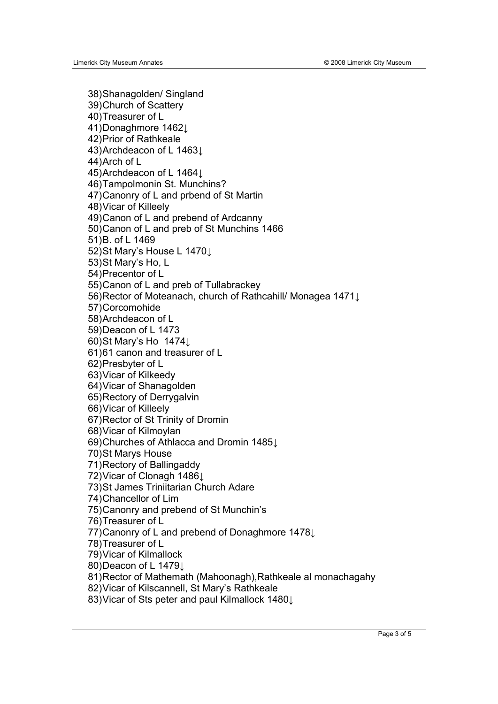38)Shanagolden/ Singland 39)Church of Scattery 40)Treasurer of L 41)Donaghmore 1462↓ 42)Prior of Rathkeale 43)Archdeacon of L 1463↓ 44)Arch of L 45)Archdeacon of L 1464↓ 46)Tampolmonin St. Munchins? 47)Canonry of L and prbend of St Martin 48)Vicar of Killeely 49)Canon of L and prebend of Ardcanny 50)Canon of L and preb of St Munchins 1466 51)B. of L 1469 52)St Mary's House L 1470↓ 53)St Mary's Ho, L 54)Precentor of L 55)Canon of L and preb of Tullabrackey 56)Rector of Moteanach, church of Rathcahill/ Monagea 1471↓ 57)Corcomohide 58)Archdeacon of L 59)Deacon of L 1473 60)St Mary's Ho 1474↓ 61)61 canon and treasurer of L 62)Presbyter of L 63)Vicar of Kilkeedy 64)Vicar of Shanagolden 65)Rectory of Derrygalvin 66)Vicar of Killeely 67)Rector of St Trinity of Dromin 68)Vicar of Kilmoylan 69)Churches of Athlacca and Dromin 1485↓ 70)St Marys House 71)Rectory of Ballingaddy 72)Vicar of Clonagh 1486↓ 73)St James Triniitarian Church Adare 74)Chancellor of Lim 75)Canonry and prebend of St Munchin's 76)Treasurer of L 77)Canonry of L and prebend of Donaghmore 1478↓ 78)Treasurer of L 79)Vicar of Kilmallock 80)Deacon of L 1479』 81)Rector of Mathemath (Mahoonagh),Rathkeale al monachagahy 82)Vicar of Kilscannell, St Mary's Rathkeale 83)Vicar of Sts peter and paul Kilmallock 1480↓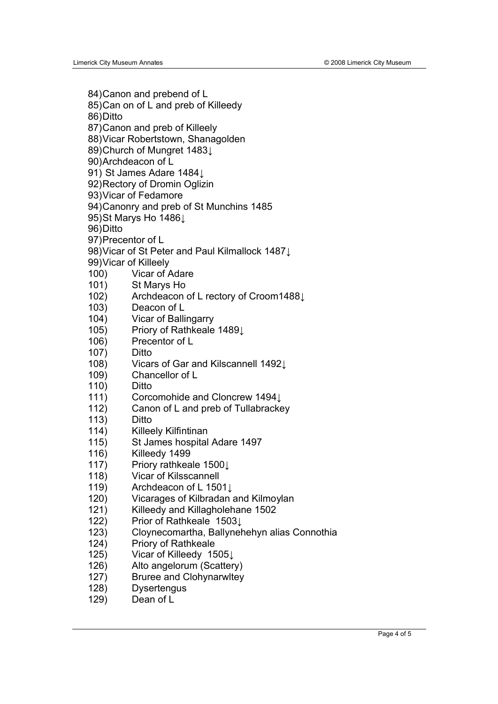84)Canon and prebend of L 85)Can on of L and preb of Killeedy 86)Ditto 87)Canon and preb of Killeely 88)Vicar Robertstown, Shanagolden 89)Church of Mungret 1483↓ 90)Archdeacon of L 91) St James Adare 1484⊥ 92)Rectory of Dromin Oglizin 93)Vicar of Fedamore 94)Canonry and preb of St Munchins 1485 95)St Marys Ho 1486↓ 96)Ditto 97)Precentor of L 98) Vicar of St Peter and Paul Kilmallock 1487↓ 99)Vicar of Killeely 100) Vicar of Adare 101) St Marys Ho 102) Archdeacon of L rectory of Croom1488↓ 103) Deacon of L 104) Vicar of Ballingarry 105) Priory of Rathkeale 1489↓ 106) Precentor of L 107) Ditto 108) Vicars of Gar and Kilscannell 1492↓ 109) Chancellor of L 110) Ditto 111) Corcomohide and Cloncrew 1494↓ 112) Canon of L and preb of Tullabrackey 113) Ditto 114) Killeely Kilfintinan 115) St James hospital Adare 1497 116) Killeedy 1499 117) Priory rathkeale 1500↓ 118) Vicar of Kilsscannell 119) Archdeacon of L 1501↓ 120) Vicarages of Kilbradan and Kilmoylan 121) Killeedy and Killagholehane 1502 122) Prior of Rathkeale 1503 123) Cloynecomartha, Ballynehehyn alias Connothia 124) Priory of Rathkeale 125) Vicar of Killeedy 1505 126) Alto angelorum (Scattery) 127) Bruree and Clohynarwltey 128) Dysertengus 129) Dean of L